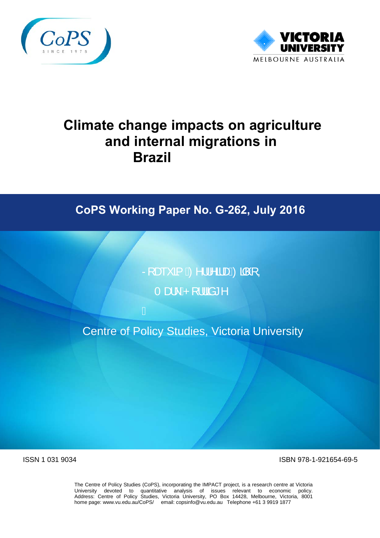



# **Climate change impacts on agriculture and internal migrations in Brazil**

# **CoPS Working Paper No. G-262, July 2016**

Ra a Amila a Enga,  $T \frac{d}{dt} \hat{R}$ [ $\frac{d}{dt} \hat{a}^*$ 

Centre of Policy Studies, Victoria University

Á

ISSN 1 031 9034 ISBN 978-1-921654-69-5

The Centre of Policy Studies (CoPS), incorporating the IMPACT project, is a research centre at Victoria University devoted to quantitative analysis of issues relevant to economic policy. Address: Centre of Policy Studies, Victoria University, PO Box 14428, Melbourne, Victoria, 8001 home page: www.vu.edu.au/CoPS/ email: copsinfo@vu.edu.au Telephone +61 3 9919 1877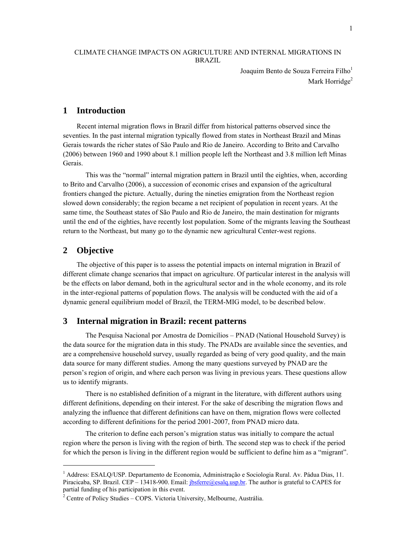#### CLIMATE CHANGE IMPACTS ON AGRICULTURE AND INTERNAL MIGRATIONS IN BRAZIL

Joaquim Bento de Souza Ferreira Filho<sup>1</sup> Mark Horridge<sup>2</sup>

## **1 Introduction**

Recent internal migration flows in Brazil differ from historical patterns observed since the seventies. In the past internal migration typically flowed from states in Northeast Brazil and Minas Gerais towards the richer states of São Paulo and Rio de Janeiro. According to Brito and Carvalho (2006) between 1960 and 1990 about 8.1 million people left the Northeast and 3.8 million left Minas Gerais.

 This was the "normal" internal migration pattern in Brazil until the eighties, when, according to Brito and Carvalho (2006), a succession of economic crises and expansion of the agricultural frontiers changed the picture. Actually, during the nineties emigration from the Northeast region slowed down considerably; the region became a net recipient of population in recent years. At the same time, the Southeast states of São Paulo and Rio de Janeiro, the main destination for migrants until the end of the eighties, have recently lost population. Some of the migrants leaving the Southeast return to the Northeast, but many go to the dynamic new agricultural Center-west regions.

### **2 Objective**

-

The objective of this paper is to assess the potential impacts on internal migration in Brazil of different climate change scenarios that impact on agriculture. Of particular interest in the analysis will be the effects on labor demand, both in the agricultural sector and in the whole economy, and its role in the inter-regional patterns of population flows. The analysis will be conducted with the aid of a dynamic general equilibrium model of Brazil, the TERM-MIG model, to be described below.

#### **3 Internal migration in Brazil: recent patterns**

 The Pesquisa Nacional por Amostra de Domicílios – PNAD (National Household Survey) is the data source for the migration data in this study. The PNADs are available since the seventies, and are a comprehensive household survey, usually regarded as being of very good quality, and the main data source for many different studies. Among the many questions surveyed by PNAD are the person's region of origin, and where each person was living in previous years. These questions allow us to identify migrants.

 There is no established definition of a migrant in the literature, with different authors using different definitions, depending on their interest. For the sake of describing the migration flows and analyzing the influence that different definitions can have on them, migration flows were collected according to different definitions for the period 2001-2007, from PNAD micro data.

 The criterion to define each person's migration status was initially to compare the actual region where the person is living with the region of birth. The second step was to check if the period for which the person is living in the different region would be sufficient to define him as a "migrant".

<sup>&</sup>lt;sup>1</sup> Address: ESALQ/USP. Departamento de Economia, Administração e Sociologia Rural. Av. Pádua Dias, 11. Piracicaba, SP. Brazil. CEP – 13418-900. Email: *jbsferre@esalq.usp.br*. The author is grateful to CAPES for partial funding of his participation in this event.

<sup>&</sup>lt;sup>2</sup> Centre of Policy Studies – COPS, Victoria University, Melbourne, Australia.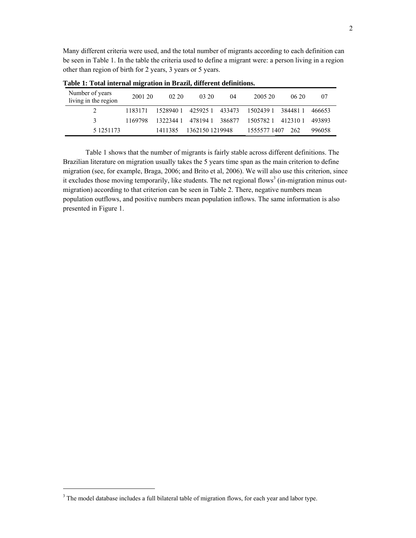Many different criteria were used, and the total number of migrants according to each definition can be seen in Table 1. In the table the criteria used to define a migrant were: a person living in a region other than region of birth for 2 years, 3 years or 5 years.

| Number of years<br>living in the region | 2001 20 | 02.20              | 03 20           | 04     | 2005 20            | 0620    | 07     |
|-----------------------------------------|---------|--------------------|-----------------|--------|--------------------|---------|--------|
|                                         | 1183171 | 1528940 1 425925 1 |                 | 433473 | 1502439.1          | 3844811 | 466653 |
|                                         | 1169798 | 1322344.1          | 4781941 386877  |        | 1505782.1 412310.1 |         | 493893 |
| 5 1251173                               |         | 1411385            | 1362150 1219948 |        | 1555577 1407       | 262     | 996058 |

**Table 1: Total internal migration in Brazil, different definitions.** 

Table 1 shows that the number of migrants is fairly stable across different definitions. The Brazilian literature on migration usually takes the 5 years time span as the main criterion to define migration (see, for example, Braga, 2006; and Brito et al, 2006). We will also use this criterion, since it excludes those moving temporarily, like students. The net regional flows<sup>3</sup> (in-migration minus outmigration) according to that criterion can be seen in Table 2. There, negative numbers mean population outflows, and positive numbers mean population inflows. The same information is also presented in Figure 1.

 $\overline{a}$ 

<sup>&</sup>lt;sup>3</sup> The model database includes a full bilateral table of migration flows, for each year and labor type.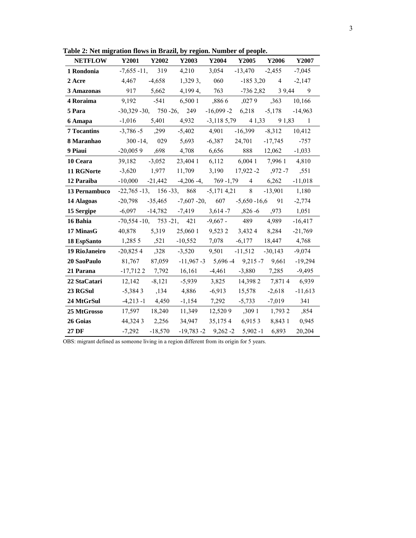**Table 2: Net migration flows in Brazil, by region. Number of people.** 

| radie 2: iver migration hows in Brazil, by region. Number of people. |                                                |                  |                                                                     |                                        |                                      |                        |               |
|----------------------------------------------------------------------|------------------------------------------------|------------------|---------------------------------------------------------------------|----------------------------------------|--------------------------------------|------------------------|---------------|
| <b>NETFLOW</b>                                                       | <b>Y2001</b>                                   | Y2002            | Y2003                                                               | Y2004                                  |                                      | Y2005 Y2006            | Y2007         |
| 1 Rondonia                                                           | $-7,655 - 11, 319$                             |                  |                                                                     | 4,210 3,054                            | $-13,470$ $-2,455$                   |                        | $-7,045$      |
| 2 Acre                                                               |                                                |                  | $4,467$ $-4,658$ $1,3293$ , 060                                     |                                        | $-1853,20$                           |                        | $4 -2,147$    |
| 3 Amazonas                                                           |                                                | 917 5,662        |                                                                     | 4,1994, 763 -736 2,82 3 9,44 9         |                                      |                        |               |
| 4 Roraima                                                            | 9,192 -541                                     |                  |                                                                     | 6,500 1 ,886 6 ,027 9                  |                                      | ,363                   | 10,166        |
| 5 Para                                                               |                                                |                  | $-30,329 -30, 750 -26, 249$                                         | $-16,099 - 2 \quad 6,218 \quad -5,178$ |                                      |                        | $-14,963$     |
| 6 Amapa                                                              |                                                |                  | $-1,016$ $5,401$ $4,932$ $-3,1185,79$ $41,33$ $91,83$ 1             |                                        |                                      |                        |               |
| <b>7 Tocantins</b>                                                   | $-3,786 - 5$ , 299                             |                  | $-5,402$ $4,901$                                                    |                                        | $-16,399$                            | $-8,312$               | 10,412        |
| 8 Maranhao                                                           |                                                |                  | $300 - 14, 029$ 5,693                                               |                                        | $-6,387$ 24,701                      | $-17,745$              | $-757$        |
| 9 Piaui                                                              |                                                |                  | $-20,0059$ $,698$ $4,708$ $6,656$                                   |                                        |                                      | 888 12,062 -1,033      |               |
| 10 Ceara                                                             | $39,182$ $-3,052$                              |                  | 23,404 1                                                            | 6,112                                  |                                      | 6,004 1 7,996 1 4,810  |               |
| 11 RGNorte                                                           |                                                |                  | $-3,620$ 1,977 11,709                                               |                                        | $3,190$ $17,922 - 2$ $972 - 7$ $551$ |                        |               |
| 12 Paraiba                                                           |                                                |                  | $-10,000$ $-21,442$ $-4,206-4, 769-1,79$ 4                          |                                        |                                      | 6,262                  | $-11,018$     |
| 13 Pernambuco                                                        |                                                |                  | $-22,765 - 13, 156 - 33, 868$                                       | $-5,1714,21$                           | 8                                    | $-13,901$ 1,180        |               |
| 14 Alagoas                                                           | $-20,798$                                      |                  | $-35,465$ $-7,607$ $-20$ , $607$ $-5,650$ $-16,6$ 91 $-2,774$       |                                        |                                      |                        |               |
| 15 Sergipe                                                           |                                                |                  | $-6,097$ $-14,782$ $-7,419$ $3,614$ $-7$ $,826$ $-6$ $,973$ $1,051$ |                                        |                                      |                        |               |
| 16 Bahia                                                             |                                                |                  | $-70,554 - 10, 753 - 21, 421 - 9,667 - 489$ 4,989                   |                                        |                                      |                        | $-16,417$     |
| 17 MinasG                                                            |                                                |                  | 40,878 5,319 25,060 1 9,523 2 3,432 4 8,284                         |                                        |                                      |                        | $-21,769$     |
| 18 EspSanto                                                          | 1,285 5 ,521 -10,552 7,078 -6,177 18,447 4,768 |                  |                                                                     |                                        |                                      |                        |               |
| 19 RioJaneiro                                                        | $-20,8254$ $,328$                              |                  | $-3,520$ 9,501                                                      |                                        | $-11,512$ $-30,143$                  |                        | $-9,074$      |
| 20 SaoPaulo                                                          | 81,767                                         |                  | $87,059$ -11,967 -3 5,696 -4 9,215 -7 9,661                         |                                        |                                      |                        | $-19,294$     |
| 21 Parana                                                            |                                                |                  | $-17,7122$ $7,792$ $16,161$                                         |                                        | $-4,461$ $-3,880$                    | 7,285                  | $-9,495$      |
| 22 StaCatari                                                         | 12,142                                         | $-8,121$         | $-5,939$                                                            | 3,825                                  |                                      | 14,398 2 7,871 4 6,939 |               |
| 23 RGSul                                                             |                                                | $-5,3843$ $,134$ | 4,886                                                               | $-6,913$                               | 15,578                               | $-2,618$               | $-11,613$     |
| 24 MtGrSul                                                           | $-4,213 - 1$ $4,450$                           |                  | $-1,154$                                                            | 7,292                                  | $-5,733$                             | $-7,019$               | 341           |
| 25 MtGrosso                                                          | 17,597 18,240                                  |                  | 11,349                                                              |                                        | $12,5209$ $3091$ $1,7932$            |                        | ,854          |
| 26 Goias                                                             | 44,324 3 2,256                                 |                  | 34,947                                                              |                                        | 35,1754 6,9153                       |                        | 8,843 1 0,945 |
| 27 DF                                                                | -7,292                                         | $-18,570$        |                                                                     | $-19,783 - 2$ $9,262 - 2$ $5,902 - 1$  |                                      | 6,893                  | 20,204        |

OBS: migrant defined as someone living in a region different from its origin for 5 years.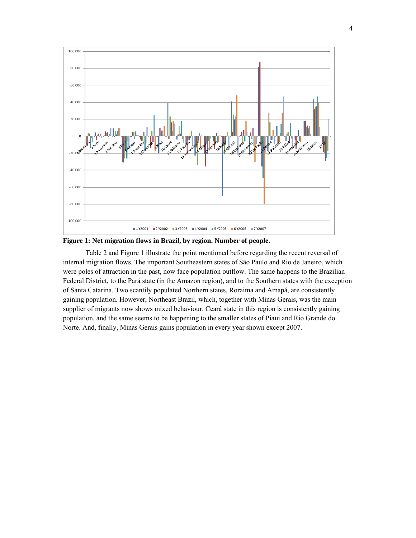

**Figure 1: Net migration flows in Brazil, by region. Number of people.** 

 Table 2 and Figure 1 illustrate the point mentioned before regarding the recent reversal of internal migration flows. The important Southeastern states of São Paulo and Rio de Janeiro, which were poles of attraction in the past, now face population outflow. The same happens to the Brazilian Federal District, to the Pará state (in the Amazon region), and to the Southern states with the exception of Santa Catarina. Two scantily populated Northern states, Roraima and Amapá, are consistently gaining population. However, Northeast Brazil, which, together with Minas Gerais, was the main supplier of migrants now shows mixed behaviour. Ceará state in this region is consistently gaining population, and the same seems to be happening to the smaller states of Piaui and Rio Grande do Norte. And, finally, Minas Gerais gains population in every year shown except 2007.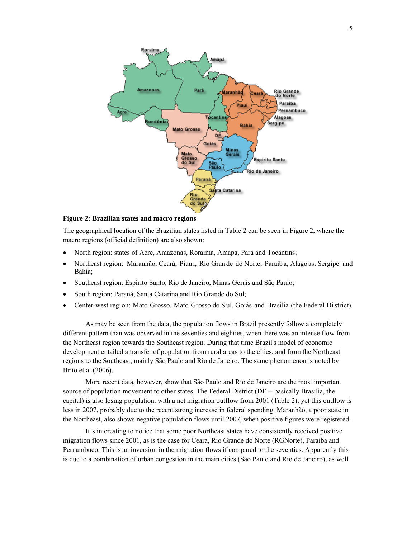

**Figure 2: Brazilian states and macro regions** 

The geographical location of the Brazilian states listed in Table 2 can be seen in Figure 2, where the macro regions (official definition) are also shown:

- North region: states of Acre, Amazonas, Roraima, Amapá, Pará and Tocantins;
- Northeast region: Maranhão, Ceará, Piaui, Rio Gran de do Norte, Paraíb a, Alago as, Sergipe and Bahia;
- Southeast region: Espírito Santo, Rio de Janeiro, Minas Gerais and São Paulo;
- South region: Paraná, Santa Catarina and Rio Grande do Sul;
- Center-west region: Mato Grosso, Mato Grosso do Sul, Goiás and Brasilia (the Federal Di strict).

 As may be seen from the data, the population flows in Brazil presently follow a completely different pattern than was observed in the seventies and eighties, when there was an intense flow from the Northeast region towards the Southeast region. During that time Brazil's model of economic development entailed a transfer of population from rural areas to the cities, and from the Northeast regions to the Southeast, mainly São Paulo and Rio de Janeiro. The same phenomenon is noted by Brito et al (2006).

 More recent data, however, show that São Paulo and Rio de Janeiro are the most important source of population movement to other states. The Federal District (DF -- basically Brasilia, the capital) is also losing population, with a net migration outflow from 2001 (Table 2); yet this outflow is less in 2007, probably due to the recent strong increase in federal spending. Maranhão, a poor state in the Northeast, also shows negative population flows until 2007, when positive figures were registered.

 It's interesting to notice that some poor Northeast states have consistently received positive migration flows since 2001, as is the case for Ceara, Rio Grande do Norte (RGNorte), Paraiba and Pernambuco. This is an inversion in the migration flows if compared to the seventies. Apparently this is due to a combination of urban congestion in the main cities (São Paulo and Rio de Janeiro), as well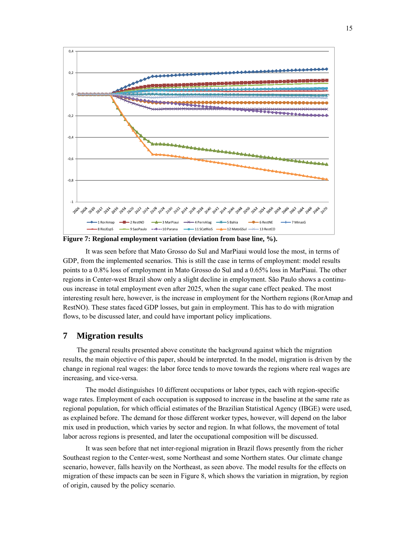

**Figure 7: Regional employment variation (deviation from base line, %).** 

 It was seen before that Mato Grosso do Sul and MarPiaui would lose the most, in terms of GDP, from the implemented scenarios. This is still the case in terms of employment: model results points to a 0.8% loss of employment in Mato Grosso do Sul and a 0.65% loss in MarPiaui. The other regions in Center-west Brazil show only a slight decline in employment. São Paulo shows a continuous increase in total employment even after 2025, when the sugar cane effect peaked. The most interesting result here, however, is the increase in employment for the Northern regions (RorAmap and RestNO). These states faced GDP losses, but gain in employment. This has to do with migration flows, to be discussed later, and could have important policy implications.

# **7 Migration results**

The general results presented above constitute the background against which the migration results, the main objective of this paper, should be interpreted. In the model, migration is driven by the change in regional real wages: the labor force tends to move towards the regions where real wages are increasing, and vice-versa.

 The model distinguishes 10 different occupations or labor types, each with region-specific wage rates. Employment of each occupation is supposed to increase in the baseline at the same rate as regional population, for which official estimates of the Brazilian Statistical Agency (IBGE) were used, as explained before. The demand for those different worker types, however, will depend on the labor mix used in production, which varies by sector and region. In what follows, the movement of total labor across regions is presented, and later the occupational composition will be discussed.

 It was seen before that net inter-regional migration in Brazil flows presently from the richer Southeast region to the Center-west, some Northeast and some Northern states. Our climate change scenario, however, falls heavily on the Northeast, as seen above. The model results for the effects on migration of these impacts can be seen in Figure 8, which shows the variation in migration, by region of origin, caused by the policy scenario.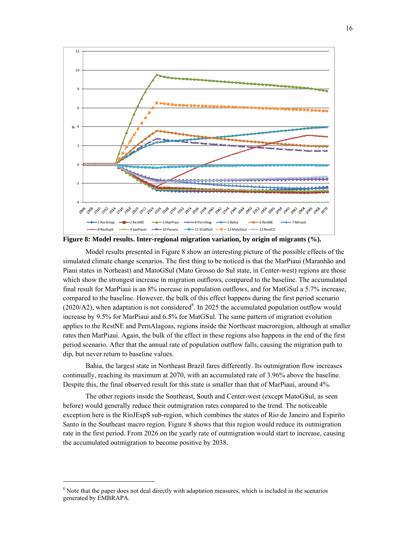

**Figure 8: Model results. Inter-regional migration variation, by origin of migrants (%).** 

 Model results presented in Figure 8 show an interesting picture of the possible effects of the simulated climate change scenarios. The first thing to be noticed is that the MarPiaui (Maranhão and Piaui states in Norheast) and MatoGSul (Mato Grosso do Sul state, in Center-west) regions are those which show the strongest increase in migration outflows, compared to the baseline. The accumulated final result for MarPiaui is an 8% increase in population outflows, and for MatGSul a 5.7% increase, compared to the baseline. However, the bulk of this effect happens during the first period scenario  $(2020/A2)$ , when adaptation is not considered<sup>8</sup>. In 2025 the accumulated population outflow would increase by 9.5% for MarPiaui and 6.5% for MatGSul. The same pattern of migration evolution applies to the RestNE and PernAlagoas, regions inside the Northeast macroregion, although at smaller rates then MarPiaui. Again, the bulk of the effect in these regions also happens in the end of the first period scenario. After that the annual rate of population outflow falls, causing the migration path to dip, but never return to baseline values.

 Bahia, the largest state in Northeast Brazil fares differently. Its outmigration flow increases continually, reaching its maximum at 2070, with an accumulated rate of 3.96% above the baseline. Despite this, the final observed result for this state is smaller than that of MarPiaui, around 4%.

 The other regions inside the Southeast, South and Center-west (except MatoGSul, as seen before) would generally reduce their outmigration rates compared to the trend. The noticeable exception here is the RioJEspS sub-region, which combines the states of Rio de Janeiro and Espirito Santo in the Southeast macro region. Figure 8 shows that this region would reduce its outmigration rate in the first period. From 2026 on the yearly rate of outmigration would start to increase, causing the accumulated outmigration to become positive by 2038.

-

<sup>&</sup>lt;sup>8</sup> Note that the paper does not deal directly with adaptation measures, which is included in the scenarios generated by EMBRAPA.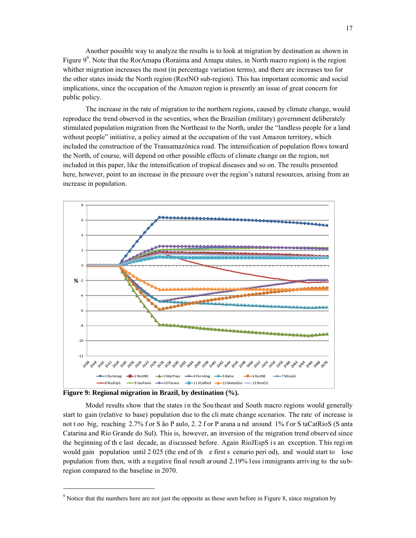Another possible way to analyze the results is to look at migration by destination as shown in Figure  $9^9$ . Note that the RorAmapa (Roraima and Amapa states, in North macro region) is the region whither migration increases the most (in percentage variation terms), and there are increases too for the other states inside the North region (RestNO sub-region). This has important economic and social implications, since the occupation of the Amazon region is presently an issue of great concern for public policy.

 The increase in the rate of migration to the northern regions, caused by climate change, would reproduce the trend observed in the seventies, when the Brazilian (military) government deliberately stimulated population migration from the Northeast to the North, under the "landless people for a land without people" initiative, a policy aimed at the occupation of the vast Amazon territory, which included the construction of the Transamazônica road. The intensification of population flows toward the North, of course, will depend on other possible effects of climate change on the region, not included in this paper, like the intensification of tropical diseases and so on. The results presented here, however, point to an increase in the pressure over the region's natural resources, arising from an increase in population.



**Figure 9: Regional migration in Brazil, by destination (%).** 

 $\overline{a}$ 

Model results show that the states in the Sou theast and South macro regions would generally start to gain (relative to base) population due to the cli mate change scenarios. The rate of increase is not t oo big, reaching 2.7% f or S ão P aulo, 2. 2 f or P arana a nd around 1% f or S taCatRioS (S anta Catarina and Rio Grande do Sul). This is, however, an inversion of the migration trend observed since the beginning of th e last decade, as discussed before. Again RioJEspS i s an exception. T his regi on would gain population until 2 025 (the end of th e first s cenario peri od), and would start to lose population from then, with a negative final result around 2.19% less immigrants arriving to the subregion compared to the baseline in 2070.

<sup>&</sup>lt;sup>9</sup> Notice that the numbers here are not just the opposite as those seen before in Figure 8, since migration by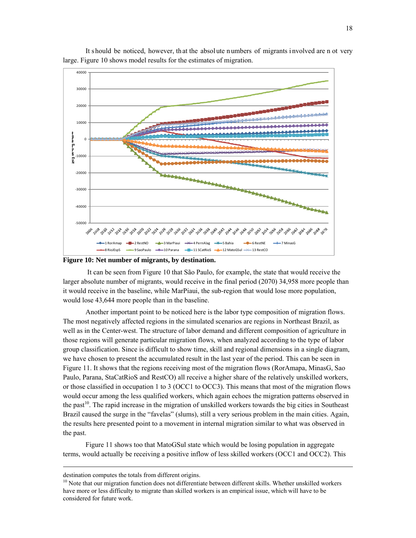

 It should be noticed, however, th at the absol ute n umbers of migrants i nvolved are n ot very large. Figure 10 shows model results for the estimates of migration.

**Figure 10: Net number of migrants, by destination.** 

 It can be seen from Figure 10 that São Paulo, for example, the state that would receive the larger absolute number of migrants, would receive in the final period (2070) 34,958 more people than it would receive in the baseline, while MarPiaui, the sub-region that would lose more population, would lose 43,644 more people than in the baseline.

 Another important point to be noticed here is the labor type composition of migration flows. The most negatively affected regions in the simulated scenarios are regions in Northeast Brazil, as well as in the Center-west. The structure of labor demand and different composition of agriculture in those regions will generate particular migration flows, when analyzed according to the type of labor group classification. Since is difficult to show time, skill and regional dimensions in a single diagram, we have chosen to present the accumulated result in the last year of the period. This can be seen in Figure 11. It shows that the regions receiving most of the migration flows (RorAmapa, MinasG, Sao Paulo, Parana, StaCatRioS and RestCO) all receive a higher share of the relatively unskilled workers, or those classified in occupation 1 to 3 (OCC1 to OCC3). This means that most of the migration flows would occur among the less qualified workers, which again echoes the migration patterns observed in the past<sup>10</sup>. The rapid increase in the migration of unskilled workers towards the big cities in Southeast Brazil caused the surge in the "favelas" (slums), still a very serious problem in the main cities. Again, the results here presented point to a movement in internal migration similar to what was observed in the past.

 Figure 11 shows too that MatoGSul state which would be losing population in aggregate terms, would actually be receiving a positive inflow of less skilled workers (OCC1 and OCC2). This

-

destination computes the totals from different origins.

<sup>&</sup>lt;sup>10</sup> Note that our migration function does not differentiate between different skills. Whether unskilled workers have more or less difficulty to migrate than skilled workers is an empirical issue, which will have to be considered for future work.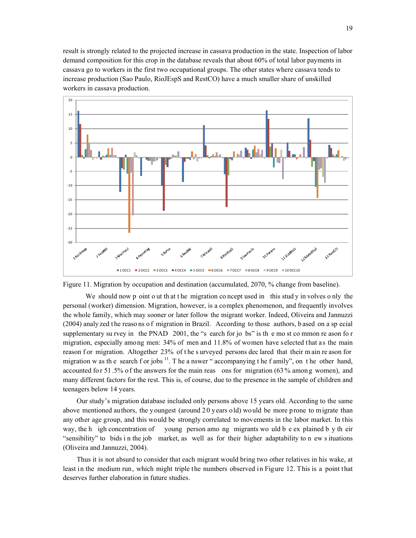result is strongly related to the projected increase in cassava production in the state. Inspection of labor demand composition for this crop in the database reveals that about 60% of total labor payments in cassava go to workers in the first two occupational groups. The other states where cassava tends to increase production (Sao Paulo, RioJEspS and RestCO) have a much smaller share of unskilled workers in cassava production.



Figure 11. Migration by occupation and destination (accumulated, 2070, % change from baseline).

We should now p oint o ut that the migration concept used in this study in volves only the personal (worker) dimension. Migration, however, is a complex phenomenon, and frequently involves the whole family, which may sooner or later follow the migrant worker. Indeed, Oliveira and Jannuzzi (2004) analy zed t he reaso ns o f migration in Brazil. According to those authors, b ased on a sp ecial supplementary su rvey in the PNAD 2001, the "s earch for jo bs" is the most common reason for migration, especially among men: 34% of men and 11.8% of women have selected that as the main reason f or migration. Altogether 23% of the surveyed persons dec lared that their m ain re ason for migration w as the search f or jobs  $<sup>11</sup>$ . The a nswer " accompanying the f amily", on the other hand,</sup> accounted fo r 51 .5% o f the answers for the main reas ons for migration (63 % amon g women), and many different factors for the rest. This is, of course, due to the presence in the sample of children and teenagers below 14 years.

Our study's migration database included only persons above 15 years old. According to the same above mentioned authors, the youngest (around 20 years old) would be more prone to migrate than any other age group, and this would be strongly correlated to movements in the labor market. In this way, the h igh concentration of young person amo ng migrants wo uld b e ex plained b y th eir "sensibility" to bids i n the job market, as well as for their higher adaptability to n ew s ituations (Oliveira and Jannuzzi, 2004).

Thus it is not absurd to consider that each migrant would bring two other relatives in his wake, at least in the medium run, which might triple the numbers observed in Figure 12. This is a point that deserves further elaboration in future studies.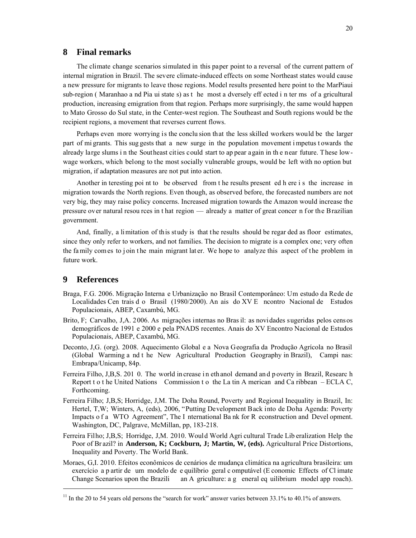#### **8 Final remarks**

The climate change scenarios simulated in this paper point to a reversal of the current pattern of internal migration in Brazil. The severe climate-induced effects on some Northeast states would cause a new pressure for migrants to leave those regions. Model results presented here point to the MarPiaui sub-region ( Maranhao a nd Pia ui state s) as t he most a dversely eff ected i n ter ms of a gricultural production, increasing emigration from that region. Perhaps more surprisingly, the same would happen to Mato Grosso do Sul state, in the Center-west region. The Southeast and South regions would be the recipient regions, a movement that reverses current flows.

Perhaps even more worrying is the conclu sion that the less skilled workers would be the larger part of mi grants. This sug gests that a new surge in the population movement i mpetus t owards the already large slums i n the Southeast cities could start to ap pear again in th e near future. These lowwage workers, which belong to the most socially vulnerable groups, would be left with no option but migration, if adaptation measures are not put into action.

Another in teresting poi nt to be observed from t he results present ed h ere i s the increase in migration towards the North regions. Even though, as observed before, the forecasted numbers are not very big, they may raise policy concerns. Increased migration towards the Amazon would increase the pressure over natural resou rces in t hat region — already a matter of great concer n for the Brazilian government.

And, finally, a limitation of this study is that the results should be regar ded as floor estimates, since they only refer to workers, and not families. The decision to migrate is a complex one; very often the fa mily comes to join the main migrant later. We hope to analyze this aspect of the problem in future work.

## **9 References**

 $\overline{a}$ 

- Braga, F.G. 2006. Migração Interna e Urbanização no Brasil Contemporâneo: Um estudo da Rede de Localidades Cen trais d o Brasil (1980/2000). An ais do XV E ncontro Nacional de Estudos Populacionais, ABEP, Caxambú, MG.
- Brito, F; Carvalho, J,A. 2006. As migrações internas no Bras il: as novidades sugeridas pelos censos demográficos de 1991 e 2000 e pela PNADS recentes. Anais do XV Encontro Nacional de Estudos Populacionais, ABEP, Caxambú, MG.
- Deconto, J,G. (org). 2008. Aquecimento Global e a Nova Geografia da Produção Agrícola no Brasil (Global Warming a nd t he New Agricultural Production Geography in Brazil), Campi nas: Embrapa/Unicamp, 84p.
- Ferreira Filho, J,B,S. 201 0. The world in crease i n eth anol demand an d p overty in Brazil, Researc h Report t o t he United Nations Commission t o the La tin A merican and Ca ribbean – ECLA C, Forthcoming.
- Ferreira Filho; J,B,S; Horridge, J,M. The Doha Round, Poverty and Regional Inequality in Brazil, In: Hertel, T,W; Winters, A, (eds), 2006, "Putting Development Back into de Doha Agenda: Poverty Impacts o f a WTO Agreement", The I nternational Ba nk for R econstruction and Devel opment. Washington, DC, Palgrave, McMillan, pp, 183-218.
- Ferreira Filho; J,B,S; Horridge, J,M. 2010. Would World Agri cultural Trade Lib eralization Help the Poor of Br azil? in **Anderson, K; Cockburn, J; Martin, W, (eds).** Agricultural Price Distortions, Inequality and Poverty. The World Bank.
- Moraes, G,I. 2010. Efeitos econômicos de cenários de mudança climática na agricultura brasileira: um exercício a p artir de um modelo de e quilíbrio geral c omputável (E conomic Effects of Cl imate Change Scenarios upon the Brazili an A griculture: a g eneral eq uilibrium model app roach).

 $11$  In the 20 to 54 years old persons the "search for work" answer varies between 33.1% to 40.1% of answers.